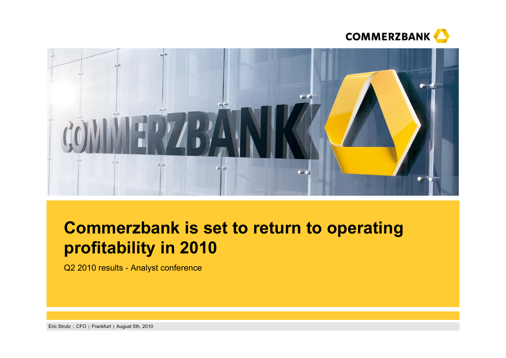



# **Commerzbank is set to return to operating profitability in 2010**

Q2 2010 results - Analyst conference

Eric Strutz | CFO | Frankfurt | August 5th, 2010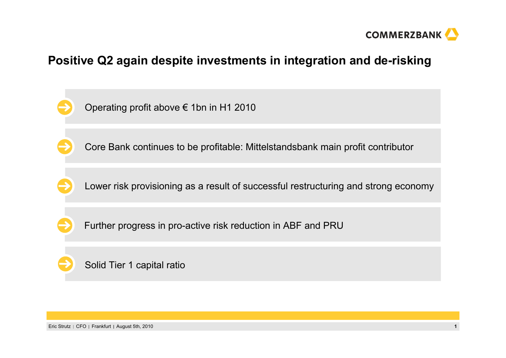

# **Positive Q2 again despite investments in integration and de-risking**

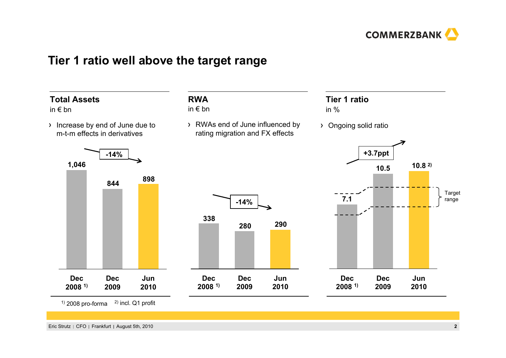

## **Tier 1 ratio well above the target range**

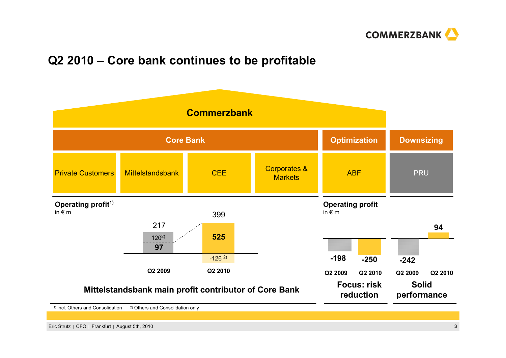

# **Q2 2010 – Core bank continues to be profitable**

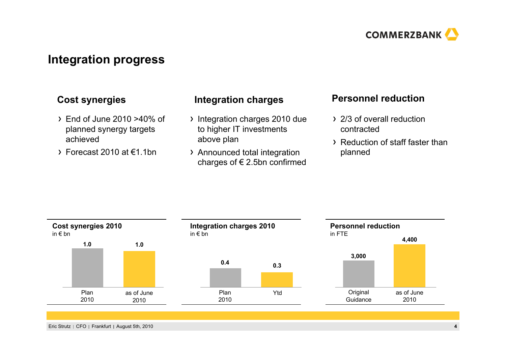

## **Integration progress**

- End of June 2010 >40% of planned synergy targets achieved
- $\rightarrow$  Forecast 2010 at  $\epsilon$ 1.1bn

## **Cost synergies Personnel reduction Integration charges**

- Integration charges 2010 due to higher IT investments above plan
- Announced total integration charges of € 2.5bn confirmed

- 2/3 of overall reduction contracted
- Reduction of staff faster than planned

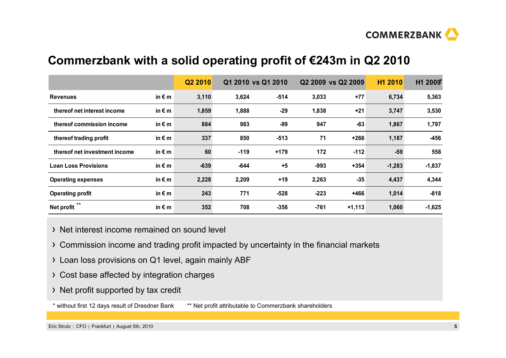

# **Commerzbank with a solid operating profit of €243m in Q2 2010**

|                               |                 | Q2 2010 |        | Q1 2010 vs Q1 2010 |        | Q2 2009 vs Q2 2009 | H1 2010  | H1 2009* |
|-------------------------------|-----------------|---------|--------|--------------------|--------|--------------------|----------|----------|
| <b>Revenues</b>               | in $\epsilon$ m | 3,110   | 3,624  | $-514$             | 3,033  | $+77$              | 6,734    | 5,363    |
| thereof net interest income   | in $\epsilon$ m | 1,859   | 1,888  | $-29$              | 1,838  | +21                | 3,747    | 3,530    |
| thereof commission income     | in $\epsilon$ m | 884     | 983    | $-99$              | 947    | $-63$              | 1,867    | 1,797    |
| thereof trading profit        | in $\epsilon$ m | 337     | 850    | $-513$             | 71     | $+266$             | 1,187    | $-456$   |
| thereof net investment income | in $\epsilon$ m | 60      | $-119$ | $+179$             | 172    | $-112$             | $-59$    | 558      |
| <b>Loan Loss Provisions</b>   | in $\epsilon$ m | $-639$  | $-644$ | $+5$               | $-993$ | $+354$             | $-1,283$ | $-1,837$ |
| <b>Operating expenses</b>     | in $\epsilon$ m | 2,228   | 2,209  | $+19$              | 2,263  | $-35$              | 4,437    | 4,344    |
| <b>Operating profit</b>       | in $\epsilon$ m | 243     | 771    | $-528$             | $-223$ | $+466$             | 1,014    | $-818$   |
| $***$<br>Net profit           | in $\epsilon$ m | 352     | 708    | $-356$             | -761   | $+1,113$           | 1,060    | $-1,625$ |

- Net interest income remained on sound level
- Commission income and trading profit impacted by uncertainty in the financial markets
- Loan loss provisions on Q1 level, again mainly ABF
- Cost base affected by integration charges
- > Net profit supported by tax credit
- \* without first 12 days result of Dresdner Bank \*\* Net profit attributable to Commerzbank shareholders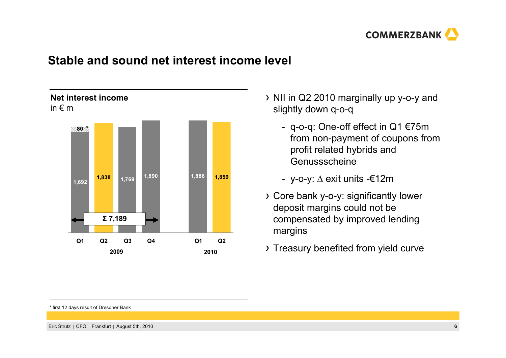

## **Stable and sound net interest income level**



## NII in Q2 2010 marginally up y-o-y and slightly down q-o-q

- q-o-q: One-off effect in Q1 €75m from non-payment of coupons from profit related hybrids and Genussscheine
- y-o-y: Δ exit units -€12m
- Core bank y-o-y: significantly lower deposit margins could not be compensated by improved lending margins
- <sub>2010</sub> > Treasury benefited from yield curve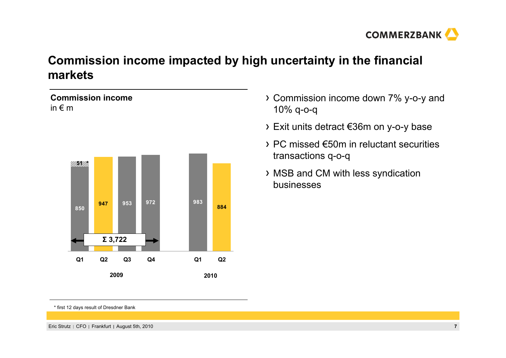

# **Commission income impacted by high uncertainty in the financial markets**

## **Commission income**in € m



- Commission income down 7% y-o-y and 10% q-o-q
- Exit units detract €36m on y-o-y base
- PC missed €50m in reluctant securities transactions q-o-q
- MSB and CM with less syndication businesses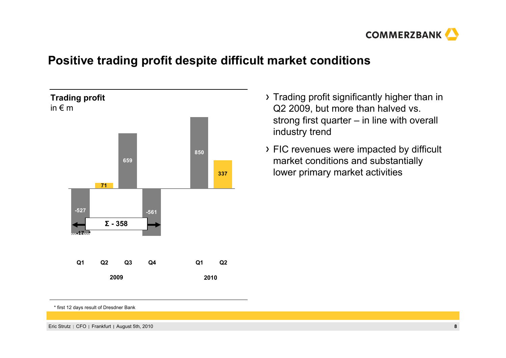

# **Positive trading profit despite difficult market conditions**



- Trading profit significantly higher than in Q2 2009, but more than halved vs. strong first quarter – in line with overall industry trend
- FIC revenues were impacted by difficult market conditions and substantially lower primary market activities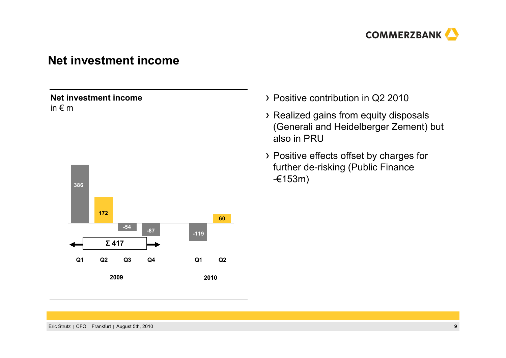

## **Net investment income**

### **Net investment income**in € m



- Positive contribution in Q2 2010
- Realized gains from equity disposals (Generali and Heidelberger Zement) but also in PRU
- Positive effects offset by charges for further de-risking (Public Finance -€153m)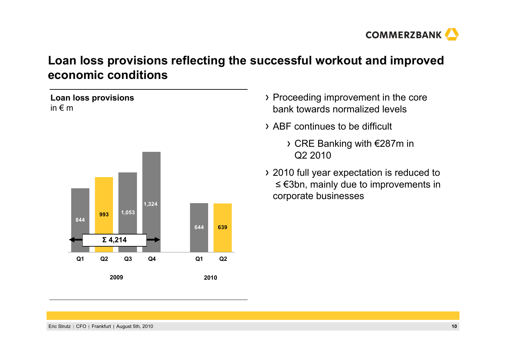

# **Loan loss provisions reflecting the successful workout and improved economic conditions**

## **Loan loss provisions** in € m



- Proceeding improvement in the core bank towards normalized levels
- ABF continues to be difficult
	- CRE Banking with €287m in Q2 2010
- 2010 full year expectation is reduced to ≤ €3bn, mainly due to improvements in corporate businesses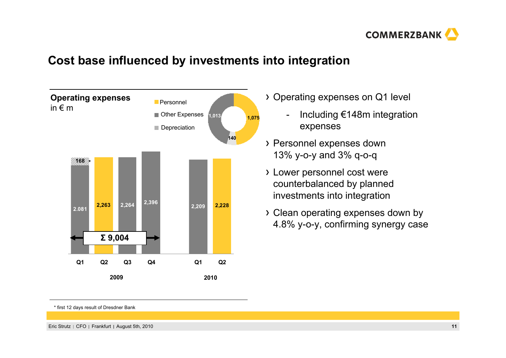

# **Cost base influenced by investments into integration**



- Operating expenses on Q1 level
	- - Including €148m integration expenses
- Personnel expenses down 13% y-o-y and 3% q-o-q
- Lower personnel cost were counterbalanced by planned investments into integration
- Clean operating expenses down by 4.8% y-o-y, confirming synergy case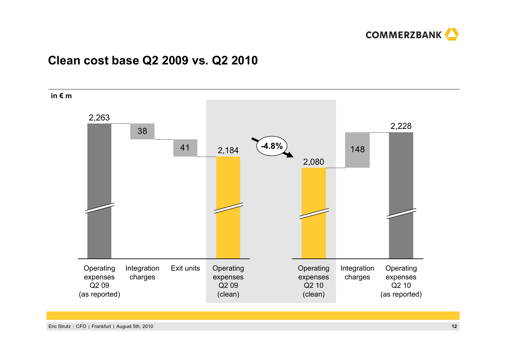

## **Clean cost base Q2 2009 vs. Q2 2010**

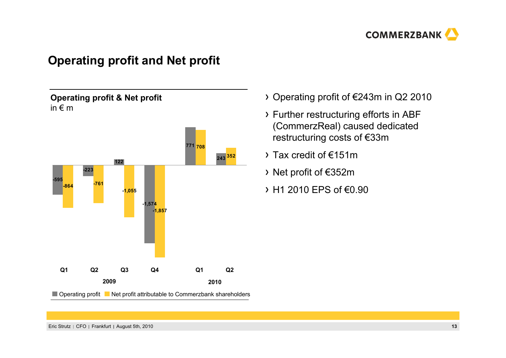

## **Operating profit and Net profit**

## **Operating profit & Net profit** in € m



- Operating profit of €243m in Q2 2010
- Further restructuring efforts in ABF (CommerzReal) caused dedicated restructuring costs of €33m
- Tax credit of €151m
- Net profit of €352m
- $\rightarrow$  H1 2010 EPS of €0.90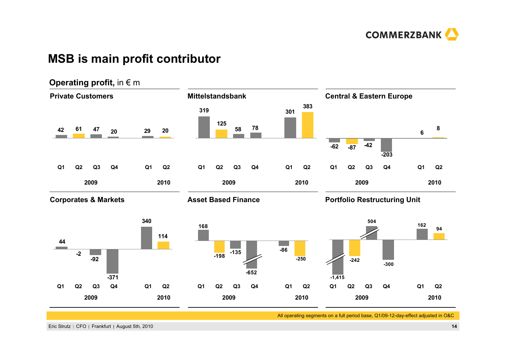

## **MSB is main profit contributor**



All operating segments on a full period base, Q1/09-12-day-effect adjusted in O&C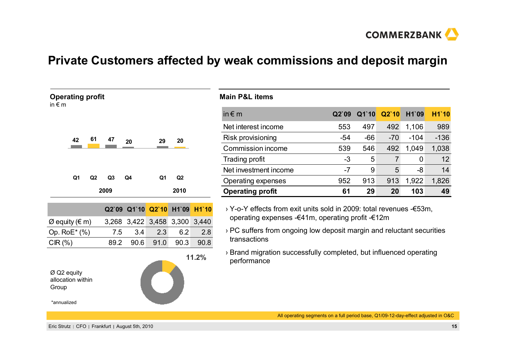

## **Private Customers affected by weak commissions and deposit margin**

| <b>Operating profit</b><br>in $\epsilon$ m |    |    |                |                   |             |       |              | <b>Main P&amp;L items</b>      |
|--------------------------------------------|----|----|----------------|-------------------|-------------|-------|--------------|--------------------------------|
|                                            |    |    |                |                   |             |       |              | in $\epsilon$ m                |
|                                            |    |    |                |                   |             |       |              | Net interest inco              |
|                                            | 42 | 61 | 47             | 20                | 29          | 20    |              | Risk provisionin               |
|                                            |    |    |                |                   |             |       |              | Commission ind                 |
|                                            |    |    |                |                   |             |       |              | Trading profit                 |
|                                            |    |    |                |                   |             |       |              | Net investment i               |
|                                            | Q1 | Q2 | Q <sub>3</sub> | Q4                | Q1          | Q2    |              | Operating exper                |
|                                            |    |    | 2009           |                   |             | 2010  |              | <b>Operating prof</b>          |
|                                            |    |    |                | Q2`09 Q1`10 Q2`10 |             | H1`09 | <b>H1`10</b> | > Y-o-Y effects                |
| $Ø$ equity (€ m)                           |    |    | 3,268          |                   | 3,422 3,458 | 3,300 | 3,440        | operating exp                  |
| Op. RoE* (%)                               |    |    | 7.5            | 3.4               | 2.3         | 6.2   | 2.8          | > PC suffers fro               |
| $CIR(\%)$                                  |    |    | 89.2           | 90.6              | 91.0        | 90.3  | 90.8         | transactions                   |
| Ø Q2 equity                                |    |    |                |                   |             |       | 11.2%        | > Brand migrati<br>performance |

|   | <b>Main P&amp;L items</b> |       |       |       |        |        |
|---|---------------------------|-------|-------|-------|--------|--------|
|   | in $\notin$ m             | Q2'09 | Q1'10 | Q2'10 | H1`09  | H1`10  |
|   | Net interest income       | 553   | 497   | 492   | 1,106  | 989    |
|   | Risk provisioning         | $-54$ | $-66$ | $-70$ | $-104$ | $-136$ |
|   | Commission income         | 539   | 546   | 492   | 1,049  | 1,038  |
|   | Trading profit            | -3    | 5     |       | 0      | 12     |
|   | Net investment income     | -7    | 9     | 5     | -8     | 14     |
|   | Operating expenses        | 952   | 913   | 913   | 1,922  | 1,826  |
| 0 | <b>Operating profit</b>   | 61    | 29    | 20    | 103    | 49     |
|   |                           |       |       |       |        |        |

ffects from exit units sold in 2009: total revenues -€53m, g expenses -€41m, operating profit -€12m

ers from ongoing low deposit margin and reluctant securities ions

higration successfully completed, but influenced operating ance

All operating segments on a full period base, Q1/09-12-day-effect adjusted in O&C

allocation within

Group

\*annualized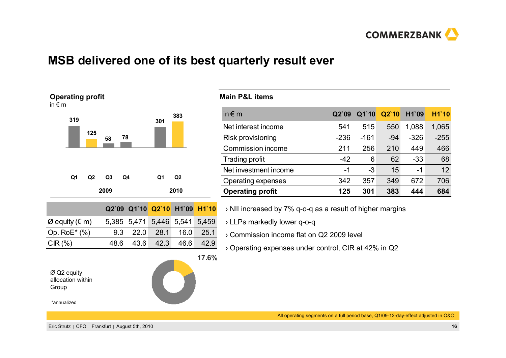

## **MSB delivered one of its best quarterly result ever**



### **Main P&L items**

| 3 | in $\notin$ m           | Q2'09  | Q1`10  | Q2'10 | H1`09  | H1`10  |
|---|-------------------------|--------|--------|-------|--------|--------|
|   | Net interest income     | 541    | 515    | 550   | 1,088  | 1,065  |
|   | Risk provisioning       | $-236$ | $-161$ | $-94$ | $-326$ | $-255$ |
|   | Commission income       | 211    | 256    | 210   | 449    | 466    |
|   | Trading profit          | $-42$  | 6      | 62    | $-33$  | 68     |
|   | Net investment income   | -1     | $-3$   | 15    | -1     | 12     |
|   | Operating expenses      | 342    | 357    | 349   | 672    | 706    |
| 0 | <b>Operating profit</b> | 125    | 301    | 383   | 444    | 684    |
|   |                         |        |        |       |        |        |

› NII increased by 7% q-o-q as a result of higher margins

› LLPs markedly lower q-o-q

› Commission income flat on Q2 2009 level

› Operating expenses under control, CIR at 42% in Q2

All operating segments on a full period base, Q1/09-12-day-effect adjusted in O&C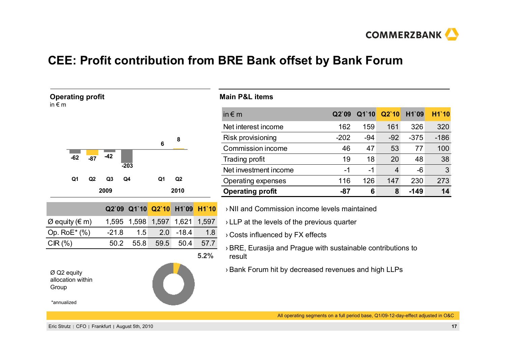

# **CEE: Profit contribution from BRE Bank offset by Bank Forum**

| <b>Operating profit</b><br>in $\epsilon$ m  |       |                |                   |       |                |                |       | <b>Main P&amp;L items</b>                                                |        |       |                |        |        |  |
|---------------------------------------------|-------|----------------|-------------------|-------|----------------|----------------|-------|--------------------------------------------------------------------------|--------|-------|----------------|--------|--------|--|
|                                             |       |                |                   |       |                |                |       | in $\notin$ m                                                            | Q2'09  | Q1`10 | Q2`10          | H1`09  | H1`10  |  |
|                                             |       |                |                   |       |                |                |       | Net interest income                                                      | 162    | 159   | 161            | 326    | 320    |  |
|                                             |       |                |                   |       |                | 8              |       | Risk provisioning                                                        | $-202$ | -94   | $-92$          | $-375$ | $-186$ |  |
|                                             |       |                |                   |       | 6              |                |       | Commission income                                                        | 46     | 47    | 53             | 77     | 100    |  |
| $-62$                                       | $-87$ | $-42$          |                   |       |                |                |       | Trading profit                                                           | 19     | 18    | 20             | 48     | 38     |  |
|                                             |       |                | $-203$            |       |                |                |       | Net investment income                                                    | $-1$   | $-1$  | $\overline{4}$ | -6     | 3      |  |
| Q <sub>1</sub>                              | Q2    | Q <sub>3</sub> | Q4                |       | Q <sub>1</sub> | Q <sub>2</sub> |       | Operating expenses                                                       | 116    | 126   | 147            | 230    | 273    |  |
|                                             |       | 2009           |                   |       |                | 2010           |       | <b>Operating profit</b><br>6<br>$-87$<br>8<br>$-149$                     |        |       |                |        | 14     |  |
|                                             |       |                | Q2`09 Q1`10 Q2`10 |       |                | H1`09          | H1`10 | > NII and Commission income levels maintained                            |        |       |                |        |        |  |
| $\varnothing$ equity ( $\in$ m)             |       | 1,595          |                   | 1,598 |                | 1,597 1,621    | 1,597 | $\rightarrow$ LLP at the levels of the previous quarter                  |        |       |                |        |        |  |
| Op. $RoE^*(% )$                             |       | $-21.8$        |                   | 1.5   | 2.0            | $-18.4$        | 1.8   | > Costs influenced by FX effects                                         |        |       |                |        |        |  |
| $CIR(\% )$                                  |       | 50.2           |                   | 55.8  | 59.5           | 50.4           | 57.7  | $\rightarrow$ BRE, Eurasija and Prague with sustainable contributions to |        |       |                |        |        |  |
|                                             |       |                |                   |       |                |                | 5.2%  | result                                                                   |        |       |                |        |        |  |
| $Ø$ Q2 equity<br>allocation within<br>Group |       |                |                   |       |                |                |       | > Bank Forum hit by decreased revenues and high LLPs                     |        |       |                |        |        |  |

\*annualized

All operating segments on a full period base, Q1/09-12-day-effect adjusted in O&C

3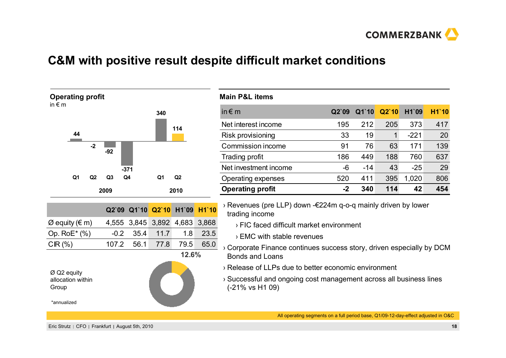

## **C&M with positive result despite difficult market conditions**



| <b>Main P&amp;L items</b> |       |       |       |        |       |
|---------------------------|-------|-------|-------|--------|-------|
| in $\notin$ m             | Q2'09 | Q1`10 | Q2'10 | H1`09  | H1`10 |
| Net interest income       | 195   | 212   | 205   | 373    | 417   |
| Risk provisioning         | 33    | 19    | 1     | $-221$ | 20    |
| Commission income         | 91    | 76    | 63    | 171    | 139   |
| Trading profit            | 186   | 449   | 188   | 760    | 637   |
| Net investment income     | -6    | $-14$ | 43    | $-25$  | 29    |
| Operating expenses        | 520   | 411   | 395   | 1,020  | 806   |
| <b>Operating profit</b>   | $-2$  | 340   | 114   | 42     | 454   |

› Revenues (pre LLP) down -€224m q-o-q mainly driven by lower trading income

› FIC faced difficult market environment

› EMC with stable revenues

› Corporate Finance continues success story, driven especially by DCM Bonds and Loans

› Release of LLPs due to better economic environment

› Successful and ongoing cost management across all business lines (-21% vs H1 09)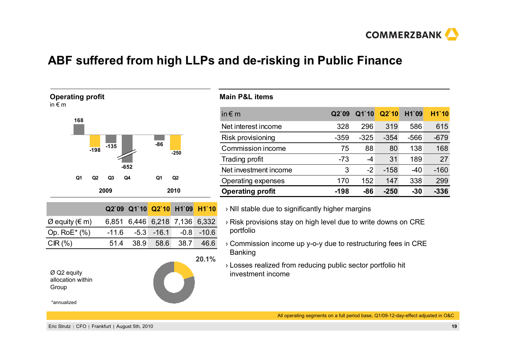

## **ABF suffered from high LLPs and de-risking in Public Finance**



| *annualized |
|-------------|
|-------------|

| <b>Main P&amp;L items</b> |     |      |       |                               |     |
|---------------------------|-----|------|-------|-------------------------------|-----|
| in $\epsilon$ m           |     |      |       | Q2`09 Q1`10 Q2`10 H1`09 H1`10 |     |
| Net interest income       | 328 | 296. | - 319 | 586                           | 615 |

| <b>Operating profit</b> | $-198$ | -86    | $-250$ | -30    | $-336$ |
|-------------------------|--------|--------|--------|--------|--------|
| Operating expenses      | 170    | 152    | 147    | 338    | 299    |
| Net investment income   | 3      | $-2$   | $-158$ | -40    | $-160$ |
| Trading profit          | $-73$  | -4     | 31     | 189    | 27     |
| Commission income       | 75     | 88     | 80     | 138    | 168    |
| Risk provisioning       | $-359$ | $-325$ | $-354$ | $-566$ | $-679$ |
| Net interest income     | 328    | 296    | 319    | 586    | 615    |
|                         |        |        |        |        |        |

- › NII stable due to significantly higher margins
- › Risk provisions stay on high level due to write downs on CRE portfolio
- › Commission income up y-o-y due to restructuring fees in CRE Banking
- › Losses realized from reducing public sector portfolio hit investment income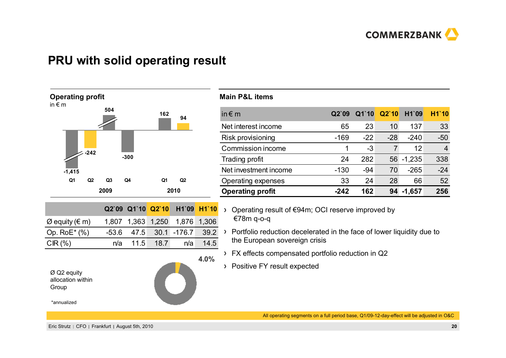

## **PRU with solid operating result**





#### **Main P&L items**

| Q2'09  |       |       | H1`09    | <b>H1'10</b>   |
|--------|-------|-------|----------|----------------|
| 65     | 23    | 10    | 137      | 33             |
| $-169$ | $-22$ | $-28$ | $-240$   | $-50$          |
|        | -3    | 7     | 12       | $\overline{4}$ |
| 24     | 282   |       | $-1,235$ | 338            |
| $-130$ | -94   | 70    | $-265$   | $-24$          |
| 33     | 24    | 28    | 66       | 52             |
| -242   | 162   |       | $-1,657$ | 256            |
|        |       |       | Q1`10    | Q2'10<br>56    |

- $\rightarrow$ Operating result of €94m; OCI reserve improved by €78m q-o-q
- Portfolio reduction decelerated in the face of lower liquidity due to the European sovereign crisis
- FX effects compensated portfolio reduction in Q2
- Positive FY result expected

All operating segments on a full period base, Q1/09-12-day-effect will be adjusted in O&C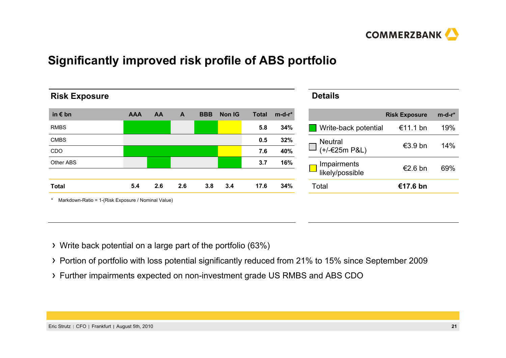

# **Significantly improved risk profile of ABS portfolio**

| <b>Risk Exposure</b>                               |            |     |     |            |               |              |         | <b>Details</b>                 |                      |         |
|----------------------------------------------------|------------|-----|-----|------------|---------------|--------------|---------|--------------------------------|----------------------|---------|
| in $\epsilon$ bn                                   | <b>AAA</b> | AA  | A   | <b>BBB</b> | <b>Non IG</b> | <b>Total</b> | $m-d-r$ |                                | <b>Risk Exposure</b> | $m-d-r$ |
| <b>RMBS</b>                                        |            |     |     |            |               | 5.8          | 34%     | Write-back potential           | €11.1 bn             | 19%     |
| <b>CMBS</b>                                        |            |     |     |            |               | 0.5          | 32%     | <b>Neutral</b>                 |                      |         |
| CDO                                                |            |     |     |            |               | 7.6          | 40%     | $(+/-€25m$ P&L)                | €3.9 bn              | 14%     |
| Other ABS                                          |            |     |     |            |               | 3.7          | 16%     | Impairments<br>likely/possible | €2.6 bn              | 69%     |
| <b>Total</b>                                       | 5.4        | 2.6 | 2.6 | 3.8        | 3.4           | 17.6         | 34%     | Total                          | €17.6 bn             |         |
| Markdown-Ratio = 1-(Risk Exposure / Nominal Value) |            |     |     |            |               |              |         |                                |                      |         |

- Write back potential on a large part of the portfolio (63%)
- Portion of portfolio with loss potential significantly reduced from 21% to 15% since September 2009
- Further impairments expected on non-investment grade US RMBS and ABS CDO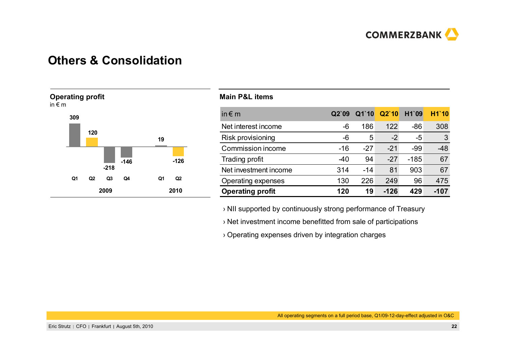

## **Others & Consolidation**



#### **Main P&L items**

| in $\notin$ m           | Q2'09 | $Q1$ 10 | Q2'10  | H1`09  | <b>H1'10</b> |
|-------------------------|-------|---------|--------|--------|--------------|
| Net interest income     | -6    | 186     | 122    | $-86$  | 308          |
| Risk provisioning       | -6    | 5       | $-2$   | -5     | 3            |
| Commission income       | $-16$ | $-27$   | $-21$  | $-99$  | $-48$        |
| Trading profit          | -40   | 94      | $-27$  | $-185$ | 67           |
| Net investment income   | 314   | $-14$   | 81     | 903    | 67           |
| Operating expenses      | 130   | 226     | 249    | 96     | 475          |
| <b>Operating profit</b> | 120   | 19      | $-126$ | 429    | -107         |

› NII supported by continuously strong performance of Treasury

› Net investment income benefitted from sale of participations

› Operating expenses driven by integration charges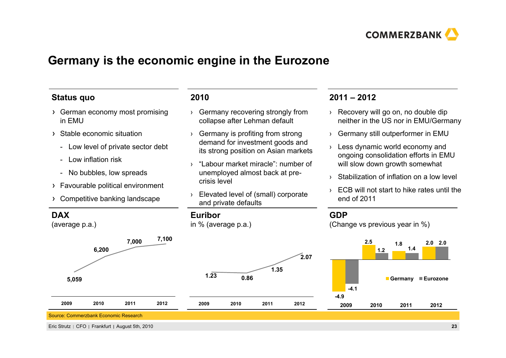

## **Germany is the economic engine in the Eurozone**

### **Status quo**

- German economy most promising in EMU
- Stable economic situation
	- Low level of private sector debt
	- Low inflation risk
	- No bubbles, low spreads
- Favourable political environment
- Competitive banking landscape

## **DAX**

(average p.a.)

# **5,059 7,100 7,000 6,200 20092010 2011 2012**



#### Eric Strutz CFO Frankfurt August 5th, 2010 **23**

### **2010**

- › Germany recovering strongly from collapse after Lehman default
- › Germany is profiting from strong demand for investment goods and its strong position on Asian markets
- › "Labour market miracle": number of unemployed almost back at precrisis level
- › Elevated level of (small) corporate and private defaults

**0.86**

#### **Euribor**

**1.23**

**2009**

in % (average p.a.)

## **2011 – 2012**

- › Recovery will go on, no double dip neither in the US nor in EMU/Germany
- › Germany still outperformer in EMU
- › Less dynamic world economy and ongoing consolidation efforts in EMU will slow down growth somewhat
- ›Stabilization of inflation on a low level
- › ECB will not start to hike rates until the end of 2011

## **GDP**

**2.07**

**1.35**

**2010 2011 2012**

(Change vs previous year in %)

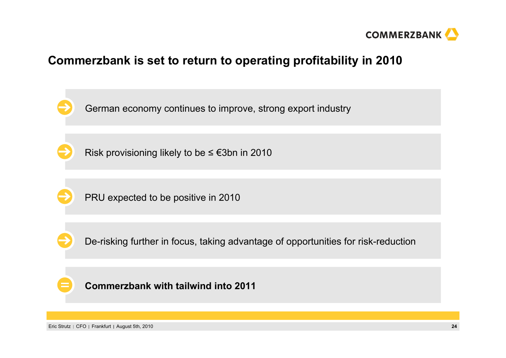

## **Commerzbank is set to return to operating profitability in 2010**

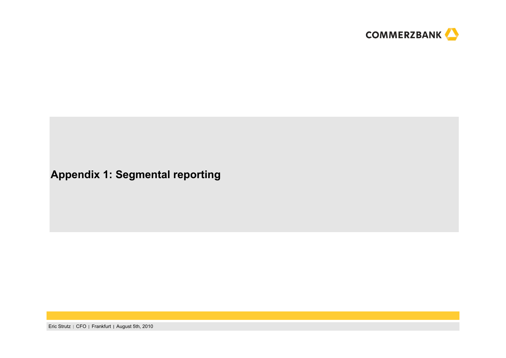

## **Appendix 1: Segmental reporting**

Eric Strutz | CFO | Frankfurt | August 5th, 2010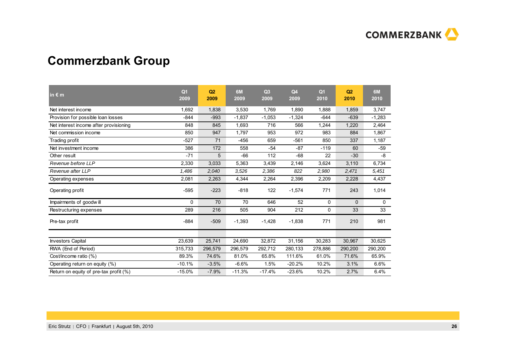

# **Commerzbank Group**

| in $\epsilon$ m                        | Q <sub>1</sub><br>2009 | Q2<br>2009 | 6M<br>2009 | Q <sub>3</sub><br>2009 | Q <sub>4</sub><br>2009 | Q <sub>1</sub><br>2010 | Q <sub>2</sub><br>2010 | 6M<br>2010 |
|----------------------------------------|------------------------|------------|------------|------------------------|------------------------|------------------------|------------------------|------------|
| Net interest income                    | 1,692                  | 1,838      | 3,530      | 1,769                  | 1,890                  | 1,888                  | 1,859                  | 3,747      |
| Provision for possible loan losses     | $-844$                 | $-993$     | $-1.837$   | $-1,053$               | $-1,324$               | $-644$                 | $-639$                 | $-1,283$   |
| Net interest income after provisioning | 848                    | 845        | 1,693      | 716                    | 566                    | 1,244                  | 1,220                  | 2,464      |
| Net commission income                  | 850                    | 947        | 1.797      | 953                    | 972                    | 983                    | 884                    | 1,867      |
| Trading profit                         | $-527$                 | 71         | $-456$     | 659                    | $-561$                 | 850                    | 337                    | 1,187      |
| Net investment income                  | 386                    | 172        | 558        | $-54$                  | $-87$                  | $-119$                 | 60                     | $-59$      |
| Other result                           | $-71$                  | 5          | $-66$      | 112                    | $-68$                  | 22                     | $-30$                  | -8         |
| Revenue before LLP                     | 2,330                  | 3,033      | 5,363      | 3,439                  | 2,146                  | 3,624                  | 3,110                  | 6,734      |
| Revenue after LLP                      | 1,486                  | 2,040      | 3,526      | 2,386                  | 822                    | 2,980                  | 2,471                  | 5,451      |
| Operating expenses                     | 2,081                  | 2,263      | 4,344      | 2,264                  | 2,396                  | 2,209                  | 2,228                  | 4,437      |
| Operating profit                       | $-595$                 | $-223$     | $-818$     | 122                    | $-1,574$               | 771                    | 243                    | 1,014      |
| Impairments of goodwill                | $\Omega$               | 70         | 70         | 646                    | 52                     | 0                      | $\Omega$               | 0          |
| Restructuring expenses                 | 289                    | 216        | 505        | 904                    | 212                    | 0                      | 33                     | 33         |
| Pre-tax profit                         | $-884$                 | $-509$     | $-1,393$   | $-1,428$               | $-1,838$               | 771                    | 210                    | 981        |
|                                        |                        |            |            |                        |                        |                        |                        |            |
| <b>Investors Capital</b>               | 23,639                 | 25,741     | 24,690     | 32,872                 | 31,156                 | 30,283                 | 30,967                 | 30,625     |
| RWA (End of Period)                    | 315,733                | 296,579    | 296,579    | 292,712                | 280,133                | 278,886                | 290,200                | 290,200    |
| Cost/income ratio (%)                  | 89.3%                  | 74.6%      | 81.0%      | 65.8%                  | 111.6%                 | 61.0%                  | 71.6%                  | 65.9%      |
| Operating return on equity (%)         | $-10.1%$               | $-3.5%$    | $-6.6%$    | 1.5%                   | $-20.2%$               | 10.2%                  | 3.1%                   | 6.6%       |
| Return on equity of pre-tax profit (%) | $-15.0%$               | $-7.9%$    | $-11.3%$   | $-17.4%$               | $-23.6%$               | 10.2%                  | 2.7%                   | 6.4%       |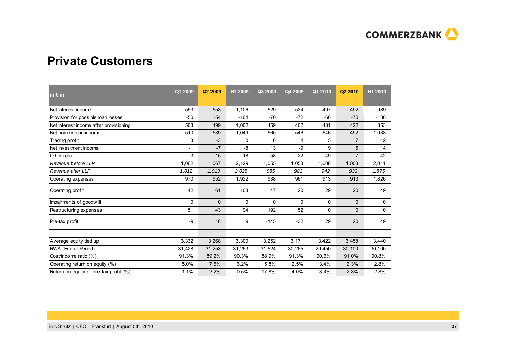

## **Private Customers**

| in $\epsilon$ m                        | Q1 2009 | Q <sub>2</sub> 2009 | H1 2009 | Q3 2009  | Q4 2009 | Q1 2010 | Q2 2010        | H <sub>1</sub> 2010 |
|----------------------------------------|---------|---------------------|---------|----------|---------|---------|----------------|---------------------|
| Net interest income                    | 553     | 553                 | 1,106   | 529      | 534     | 497     | 492            | 989                 |
| Provision for possible loan losses     | $-50$   | $-54$               | $-104$  | $-70$    | $-72$   | $-66$   | $-70$          | $-136$              |
| Net interest income after provisioning | 503     | 499                 | 1,002   | 459      | 462     | 431     | 422            | 853                 |
| Net commission income                  | 510     | 539                 | 1,049   | 565      | 546     | 546     | 492            | 1,038               |
| Trading profit                         | 3       | $-3$                | 0       | 6        | 4       | 5       | $\overline{7}$ | 12                  |
| Net investment income                  | $-1$    | $-7$                | $-8$    | 13       | -9      | 9       | 5              | 14                  |
| Other result                           | -3      | $-15$               | $-18$   | $-58$    | $-22$   | $-49$   | $\overline{7}$ | $-42$               |
| Revenue before LLP                     | 1,062   | 1,067               | 2,129   | 1,055    | 1,053   | 1,008   | 1,003          | 2,011               |
| Revenue after LLP                      | 1,012   | 1,013               | 2,025   | 985      | 981     | 942     | 933            | 1,875               |
| Operating expenses                     | 970     | 952                 | 1,922   | 938      | 961     | 913     | 913            | 1,826               |
| Operating profit                       | 42      | 61                  | 103     | 47       | 20      | 29      | 20             | 49                  |
| Impairments of goodwill                | 0       | $\mathbf{0}$        | 0       | 0        | 0       | 0       | $\mathbf{0}$   | 0                   |
| Restructuring expenses                 | 51      | 43                  | 94      | 192      | 52      | 0       | 0              | 0                   |
| Pre-tax profit                         | -9      | 18                  | 9       | $-145$   | $-32$   | 29      | 20             | 49                  |
|                                        |         |                     |         |          |         |         |                |                     |
| Average equity tied up                 | 3,332   | 3,268               | 3,300   | 3,252    | 3,171   | 3,422   | 3,458          | 3,440               |
| RWA (End of Period)                    | 31,428  | 31,253              | 31,253  | 31,524   | 30,265  | 29,450  | 30,100         | 30,100              |
| Cost/income ratio (%)                  | 91.3%   | 89.2%               | 90.3%   | 88.9%    | 91.3%   | 90.6%   | 91.0%          | 90.8%               |
| Operating return on equity (%)         | 5.0%    | 7.5%                | 6.2%    | 5.8%     | 2.5%    | 3.4%    | 2.3%           | 2.8%                |
| Return on equity of pre-tax profit (%) | $-1.1%$ | 2.2%                | 0.5%    | $-17.8%$ | $-4.0%$ | 3.4%    | 2.3%           | 2.8%                |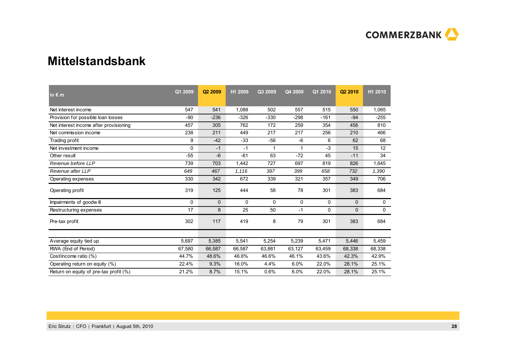

## **Mittelstandsbank**

| in $\epsilon$ m                        | Q1 2009  | Q2 2009      | H1 2009 | Q3 2009 | Q4 2009 | Q1 2010 | Q <sub>2</sub> 2010 | H1 2010     |
|----------------------------------------|----------|--------------|---------|---------|---------|---------|---------------------|-------------|
| Net interest income                    | 547      | 541          | 1,088   | 502     | 557     | 515     | 550                 | 1,065       |
| Provision for possible loan losses     | $-90$    | $-236$       | $-326$  | $-330$  | $-298$  | $-161$  | $-94$               | $-255$      |
| Net interest income after provisioning | 457      | 305          | 762     | 172     | 259     | 354     | 456                 | 810         |
| Net commission income                  | 238      | 211          | 449     | 217     | 217     | 256     | 210                 | 466         |
| Trading profit                         | 9        | $-42$        | $-33$   | $-56$   | -6      | 6       | 62                  | 68          |
| Net investment income                  | 0        | $-1$         | $-1$    | 1       | 1       | $-3$    | 15                  | 12          |
| Other result                           | $-55$    | $-6$         | $-61$   | 63      | $-72$   | 45      | $-11$               | 34          |
| Revenue before LLP                     | 739      | 703          | 1,442   | 727     | 697     | 819     | 826                 | 1,645       |
| Revenue after LLP                      | 649      | 467          | 1,116   | 397     | 399     | 658     | 732                 | 1,390       |
| Operating expenses                     | 330      | 342          | 672     | 339     | 321     | 357     | 349                 | 706         |
| Operating profit                       | 319      | 125          | 444     | 58      | 78      | 301     | 383                 | 684         |
| Impairments of goodwill                | $\Omega$ | $\mathbf{0}$ | 0       | 0       | 0       | 0       | 0                   | 0           |
| Restructuring expenses                 | 17       | 8            | 25      | 50      | $-1$    | 0       | $\mathbf{0}$        | $\mathbf 0$ |
| Pre-tax profit                         | 302      | 117          | 419     | 8       | 79      | 301     | 383                 | 684         |
|                                        |          |              |         |         |         |         |                     |             |
| Average equity tied up                 | 5,697    | 5,385        | 5,541   | 5,254   | 5,239   | 5,471   | 5,446               | 5,459       |
| RWA (End of Period)                    | 67,580   | 66,587       | 66,587  | 63,881  | 63,127  | 63,459  | 68,338              | 68,338      |
| Cost/income ratio (%)                  | 44.7%    | 48.6%        | 46.6%   | 46.6%   | 46.1%   | 43.6%   | 42.3%               | 42.9%       |
| Operating return on equity (%)         | 22.4%    | 9.3%         | 16.0%   | 4.4%    | 6.0%    | 22.0%   | 28.1%               | 25.1%       |
| Return on equity of pre-tax profit (%) | 21.2%    | 8.7%         | 15.1%   | 0.6%    | 6.0%    | 22.0%   | 28.1%               | 25.1%       |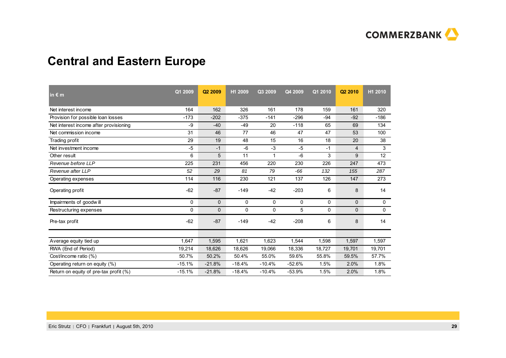

# **Central and Eastern Europe**

| in $\epsilon$ m                        | Q1 2009  | Q2 2009      | H1 2009  | Q3 2009  | Q4 2009  | Q1 2010 | Q <sub>2</sub> 2010 | H1 2010 |
|----------------------------------------|----------|--------------|----------|----------|----------|---------|---------------------|---------|
| Net interest income                    | 164      | 162          | 326      | 161      | 178      | 159     | 161                 | 320     |
| Provision for possible loan losses     | $-173$   | $-202$       | $-375$   | $-141$   | $-296$   | $-94$   | $-92$               | $-186$  |
| Net interest income after provisioning | -9       | $-40$        | $-49$    | 20       | $-118$   | 65      | 69                  | 134     |
| Net commission income                  | 31       | 46           | 77       | 46       | 47       | 47      | 53                  | 100     |
| Trading profit                         | 29       | 19           | 48       | 15       | 16       | 18      | 20                  | 38      |
| Net investment income                  | $-5$     | $-1$         | $-6$     | $-3$     | $-5$     | $-1$    | 4                   | 3       |
| Other result                           | 6        | 5            | 11       | 1        | -6       | 3       | 9                   | 12      |
| Revenue before LLP                     | 225      | 231          | 456      | 220      | 230      | 226     | 247                 | 473     |
| Revenue after LLP                      | 52       | 29           | 81       | 79       | -66      | 132     | 155                 | 287     |
| Operating expenses                     | 114      | 116          | 230      | 121      | 137      | 126     | 147                 | 273     |
| Operating profit                       | $-62$    | $-87$        | $-149$   | $-42$    | $-203$   | 6       | 8                   | 14      |
| Impairments of goodwill                | 0        | $\mathbf{0}$ | 0        | 0        | 0        | 0       | $\mathbf{0}$        | 0       |
| Restructuring expenses                 | 0        | 0            | 0        | 0        | 5        | 0       | $\mathbf{0}$        | 0       |
| Pre-tax profit                         | $-62$    | $-87$        | $-149$   | $-42$    | $-208$   | 6       | 8                   | 14      |
|                                        |          |              |          |          |          |         |                     |         |
| Average equity tied up                 | 1,647    | 1,595        | 1,621    | 1,623    | 1,544    | 1,598   | 1,597               | 1,597   |
| RWA (End of Period)                    | 19,214   | 18,626       | 18,626   | 19,066   | 18,336   | 18,727  | 19,701              | 19,701  |
| Cost/income ratio (%)                  | 50.7%    | 50.2%        | 50.4%    | 55.0%    | 59.6%    | 55.8%   | 59.5%               | 57.7%   |
| Operating return on equity (%)         | $-15.1%$ | $-21.8%$     | $-18.4%$ | $-10.4%$ | $-52.6%$ | 1.5%    | 2.0%                | 1.8%    |
| Return on equity of pre-tax profit (%) | $-15.1%$ | $-21.8%$     | $-18.4%$ | $-10.4%$ | $-53.9%$ | 1.5%    | 2.0%                | 1.8%    |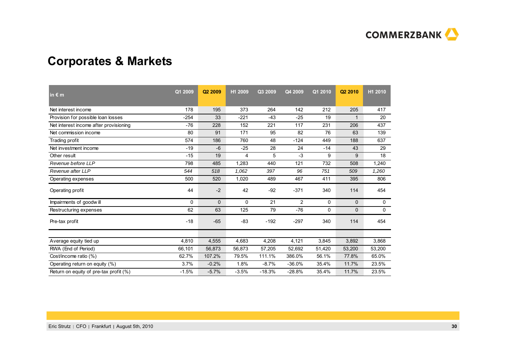

# **Corporates & Markets**

| in $\epsilon$ m                        | Q1 2009 | Q <sub>2</sub> 2009 | H1 2009 | Q3 2009  | Q4 2009        | Q1 2010  | Q <sub>2</sub> 2010 | H1 2010 |
|----------------------------------------|---------|---------------------|---------|----------|----------------|----------|---------------------|---------|
| Net interest income                    | 178     | 195                 | 373     | 264      | 142            | 212      | 205                 | 417     |
| Provision for possible loan losses     | $-254$  | 33                  | $-221$  | $-43$    | $-25$          | 19       | 1                   | 20      |
| Net interest income after provisioning | $-76$   | 228                 | 152     | 221      | 117            | 231      | 206                 | 437     |
| Net commission income                  | 80      | 91                  | 171     | 95       | 82             | 76       | 63                  | 139     |
| Trading profit                         | 574     | 186                 | 760     | 48       | $-124$         | 449      | 188                 | 637     |
| Net investment income                  | $-19$   | $-6$                | $-25$   | 28       | 24             | $-14$    | 43                  | 29      |
| Other result                           | $-15$   | 19                  | 4       | 5        | $-3$           | 9        | 9                   | 18      |
| Revenue before LLP                     | 798     | 485                 | 1,283   | 440      | 121            | 732      | 508                 | 1,240   |
| Revenue after LLP                      | 544     | 518                 | 1,062   | 397      | 96             | 751      | 509                 | 1,260   |
| Operating expenses                     | 500     | 520                 | 1,020   | 489      | 467            | 411      | 395                 | 806     |
| Operating profit                       | 44      | $-2$                | 42      | $-92$    | $-371$         | 340      | 114                 | 454     |
| Impairments of goodwill                | 0       | $\Omega$            | 0       | 21       | $\overline{2}$ | 0        | 0                   | 0       |
| Restructuring expenses                 | 62      | 63                  | 125     | 79       | $-76$          | $\Omega$ | 0                   | 0       |
| Pre-tax profit                         | $-18$   | $-65$               | $-83$   | $-192$   | $-297$         | 340      | 114                 | 454     |
|                                        |         |                     |         |          |                |          |                     |         |
| Average equity tied up                 | 4,810   | 4,555               | 4,683   | 4,208    | 4,121          | 3,845    | 3,892               | 3,868   |
| RWA (End of Period)                    | 66,101  | 56,873              | 56,873  | 57,205   | 52,692         | 51,420   | 53,200              | 53,200  |
| Cost/income ratio (%)                  | 62.7%   | 107.2%              | 79.5%   | 111.1%   | 386.0%         | 56.1%    | 77.8%               | 65.0%   |
| Operating return on equity (%)         | 3.7%    | $-0.2%$             | 1.8%    | $-8.7%$  | $-36.0%$       | 35.4%    | 11.7%               | 23.5%   |
| Return on equity of pre-tax profit (%) | $-1.5%$ | $-5.7%$             | $-3.5%$ | $-18.3%$ | $-28.8%$       | 35.4%    | 11.7%               | 23.5%   |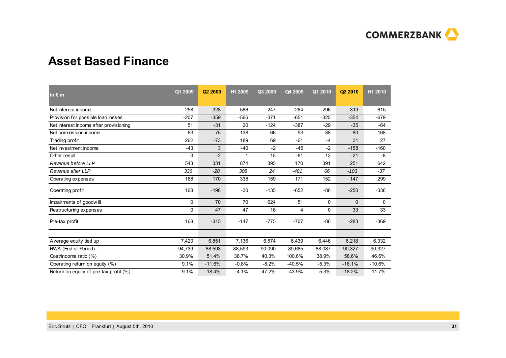

## **Asset Based Finance**

| in $\epsilon$ m                        | Q1 2009 | Q <sub>2</sub> 2009 | H1 2009 | Q3 2009  | Q4 2009  | Q1 2010 | Q <sub>2</sub> 2010 | H1 2010  |
|----------------------------------------|---------|---------------------|---------|----------|----------|---------|---------------------|----------|
| Net interest income                    | 258     | 328                 | 586     | 247      | 264      | 296     | 319                 | 615      |
| Provision for possible loan losses     | $-207$  | $-359$              | $-566$  | $-371$   | $-651$   | $-325$  | $-354$              | $-679$   |
| Net interest income after provisioning | 51      | $-31$               | 20      | $-124$   | $-387$   | $-29$   | $-35$               | $-64$    |
| Net commission income                  | 63      | 75                  | 138     | 66       | 93       | 88      | 80                  | 168      |
| Trading profit                         | 262     | $-73$               | 189     | 69       | $-61$    | $-4$    | 31                  | 27       |
| Net investment income                  | $-43$   | 3                   | $-40$   | $-2$     | $-45$    | $-2$    | $-158$              | $-160$   |
| Other result                           | 3       | $-2$                | 1       | 15       | $-81$    | 13      | $-21$               | -8       |
| Revenue before LLP                     | 543     | 331                 | 874     | 395      | 170      | 391     | 251                 | 642      |
| Revenue after LLP                      | 336     | $-28$               | 308     | 24       | $-481$   | 66      | $-103$              | $-37$    |
| Operating expenses                     | 168     | 170                 | 338     | 159      | 171      | 152     | 147                 | 299      |
| Operating profit                       | 168     | $-198$              | $-30$   | $-135$   | $-652$   | $-86$   | $-250$              | $-336$   |
| Impairments of goodwill                | 0       | 70                  | 70      | 624      | 51       | 0       | $\Omega$            | 0        |
| Restructuring expenses                 | 0       | 47                  | 47      | 16       | 4        | 0       | 33                  | 33       |
| Pre-tax profit                         | 168     | $-315$              | $-147$  | $-775$   | $-707$   | $-86$   | $-283$              | $-369$   |
|                                        |         |                     |         |          |          |         |                     |          |
| Average equity tied up                 | 7,420   | 6,851               | 7,136   | 6,574    | 6,439    | 6,446   | 6,218               | 6,332    |
| RWA (End of Period)                    | 94,739  | 88,593              | 88,593  | 90,090   | 89,685   | 88,087  | 90,327              | 90,327   |
| Cost/income ratio (%)                  | 30.9%   | 51.4%               | 38.7%   | 40.3%    | 100.6%   | 38.9%   | 58.6%               | 46.6%    |
| Operating return on equity (%)         | 9.1%    | $-11.6%$            | $-0.8%$ | $-8.2%$  | $-40.5%$ | $-5.3%$ | $-16.1%$            | $-10.6%$ |
| Return on equity of pre-tax profit (%) | 9.1%    | $-18.4%$            | $-4.1%$ | $-47.2%$ | $-43.9%$ | $-5.3%$ | $-18.2%$            | $-11.7%$ |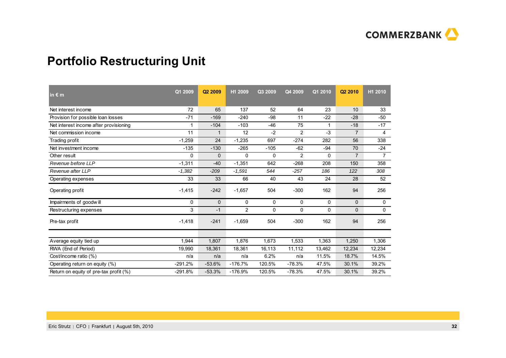

# **Portfolio Restructuring Unit**

| in $\epsilon$ m                        | Q1 2009   | Q <sub>2</sub> 2009 | H1 2009        | Q3 2009 | Q4 2009        | Q1 2010  | Q <sub>2</sub> 2010 | H1 2010        |
|----------------------------------------|-----------|---------------------|----------------|---------|----------------|----------|---------------------|----------------|
| Net interest income                    | 72        | 65                  | 137            | 52      | 64             | 23       | 10                  | 33             |
| Provision for possible loan losses     | $-71$     | $-169$              | $-240$         | $-98$   | 11             | $-22$    | $-28$               | $-50$          |
| Net interest income after provisioning | 1         | $-104$              | $-103$         | $-46$   | 75             | 1        | $-18$               | $-17$          |
| Net commission income                  | 11        | $\mathbf{1}$        | 12             | $-2$    | $\overline{2}$ | $-3$     | $\overline{7}$      | $\overline{4}$ |
| Trading profit                         | $-1,259$  | 24                  | $-1,235$       | 697     | $-274$         | 282      | 56                  | 338            |
| Net investment income                  | $-135$    | $-130$              | $-265$         | $-105$  | $-62$          | $-94$    | 70                  | $-24$          |
| Other result                           | 0         | $\Omega$            | $\Omega$       | 0       | $\overline{2}$ | $\Omega$ | $\overline{7}$      | $\overline{7}$ |
| Revenue before LLP                     | $-1,311$  | $-40$               | $-1,351$       | 642     | $-268$         | 208      | 150                 | 358            |
| Revenue after LLP                      | $-1,382$  | $-209$              | $-1,591$       | 544     | $-257$         | 186      | 122                 | 308            |
| Operating expenses                     | 33        | 33                  | 66             | 40      | 43             | 24       | 28                  | 52             |
| Operating profit                       | $-1,415$  | $-242$              | $-1,657$       | 504     | $-300$         | 162      | 94                  | 256            |
| Impairments of goodwill                | 0         | $\mathbf{0}$        | 0              | 0       | 0              | 0        | $\mathbf{0}$        | 0              |
| Restructuring expenses                 | 3         | $-1$                | $\overline{2}$ | 0       | 0              | $\Omega$ | 0                   | 0              |
| Pre-tax profit                         | $-1,418$  | $-241$              | $-1.659$       | 504     | $-300$         | 162      | 94                  | 256            |
|                                        |           |                     |                |         |                |          |                     |                |
| Average equity tied up                 | 1,944     | 1,807               | 1.876          | 1,673   | 1,533          | 1,363    | 1,250               | 1,306          |
| RWA (End of Period)                    | 19,990    | 18,361              | 18,361         | 16,113  | 11,112         | 13,462   | 12,234              | 12,234         |
| Cost/income ratio (%)                  | n/a       | n/a                 | n/a            | 6.2%    | n/a            | 11.5%    | 18.7%               | 14.5%          |
| Operating return on equity (%)         | $-291.2%$ | $-53.6%$            | $-176.7%$      | 120.5%  | $-78.3%$       | 47.5%    | 30.1%               | 39.2%          |
| Return on equity of pre-tax profit (%) | $-291.8%$ | $-53.3%$            | $-176.9%$      | 120.5%  | $-78.3%$       | 47.5%    | 30.1%               | 39.2%          |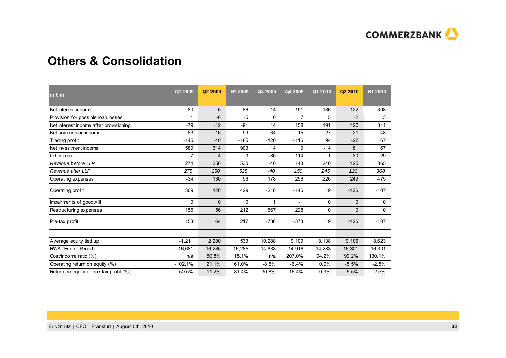

## **Others & Consolidation**

| in $\epsilon$ m                        | Q1 2009   | Q2 2009 | H1 2009  | Q3 2009  | Q4 2009        | Q1 2010 | Q <sub>2</sub> 2010 | H1 2010 |
|----------------------------------------|-----------|---------|----------|----------|----------------|---------|---------------------|---------|
| Net interest income                    | $-80$     | $-6$    | $-86$    | 14       | 151            | 186     | 122                 | 308     |
| Provision for possible loan losses     | 1         | $-6$    | $-5$     | $\Omega$ | $\overline{7}$ | 5       | $-2$                | 3       |
| Net interest income after provisioning | $-79$     | $-12$   | $-91$    | 14       | 158            | 191     | 120                 | 311     |
| Net commission income                  | $-83$     | $-16$   | $-99$    | $-34$    | $-15$          | $-27$   | $-21$               | $-48$   |
| Trading profit                         | $-145$    | $-40$   | $-185$   | $-120$   | $-116$         | 94      | $-27$               | 67      |
| Net investment income                  | 589       | 314     | 903      | 14       | 9              | $-14$   | 81                  | 67      |
| Other result                           | $-7$      | 4       | $-3$     | 86       | 114            | 1       | $-30$               | $-29$   |
| Revenue before LLP                     | 274       | 256     | 530      | $-40$    | 143            | 240     | 125                 | 365     |
| Revenue after LLP                      | 275       | 250     | 525      | $-40$    | 150            | 245     | 123                 | 368     |
| Operating expenses                     | $-34$     | 130     | 96       | 178      | 296            | 226     | 249                 | 475     |
| Operating profit                       | 309       | 120     | 429      | $-218$   | $-146$         | 19      | $-126$              | $-107$  |
| Impairments of goodwill                | 0         | 0       | $\Omega$ |          | $-1$           | 0       | $\Omega$            | 0       |
| Restructuring expenses                 | 156       | 56      | 212      | 567      | 228            | 0       | 0                   | 0       |
| Pre-tax profit                         | 153       | 64      | 217      | $-786$   | $-373$         | 19      | $-126$              | $-107$  |
|                                        |           |         |          |          |                |         |                     |         |
| Average equity tied up                 | $-1,211$  | 2,280   | 533      | 10,288   | 9,109          | 8,138   | 9,106               | 8,623   |
| RWA (End of Period)                    | 16,681    | 16,285  | 16,285   | 14,833   | 14,916         | 14,283  | 16,301              | 16,301  |
| Cost/income ratio (%)                  | n/a       | 50.8%   | 18.1%    | n/a      | 207.0%         | 94.2%   | 199.2%              | 130.1%  |
| Operating return on equity (%)         | $-102.1%$ | 21.1%   | 161.0%   | $-8.5%$  | $-6.4%$        | 0.9%    | $-5.5%$             | $-2.5%$ |
| Return on equity of pre-tax profit (%) | $-50.5%$  | 11.2%   | 81.4%    | $-30.6%$ | $-16.4%$       | 0.9%    | $-5.5%$             | $-2.5%$ |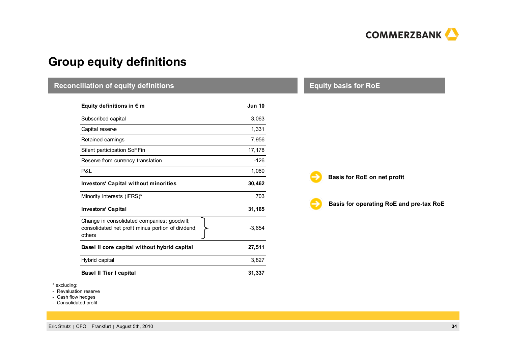

# **Group equity definitions**

| <b>Reconciliation of equity definitions</b>                                                                 |               | <b>Equity basis for RoE</b>             |
|-------------------------------------------------------------------------------------------------------------|---------------|-----------------------------------------|
| Equity definitions in $\epsilon$ m                                                                          | <b>Jun 10</b> |                                         |
| Subscribed capital                                                                                          | 3,063         |                                         |
| Capital reserve                                                                                             | 1,331         |                                         |
| Retained earnings                                                                                           | 7,956         |                                         |
| Silent participation SoFFin                                                                                 | 17,178        |                                         |
| Reserve from currency translation                                                                           | $-126$        |                                         |
| P&L                                                                                                         | 1,060         |                                         |
| <b>Investors' Capital without minorities</b>                                                                | 30,462        | Basis for RoE on net profit             |
| Minority interests (IFRS)*                                                                                  | 703           |                                         |
| <b>Investors' Capital</b>                                                                                   | 31,165        | Basis for operating RoE and pre-tax RoE |
| Change in consolidated companies; goodwill;<br>consolidated net profit minus portion of dividend;<br>others | $-3,654$      |                                         |
| Basel II core capital without hybrid capital                                                                | 27,511        |                                         |
| Hybrid capital                                                                                              | 3,827         |                                         |
| <b>Basel II Tier I capital</b>                                                                              | 31,337        |                                         |

\* excluding:

- Revaluation reserve

- Cash flow hedges - Consolidated profit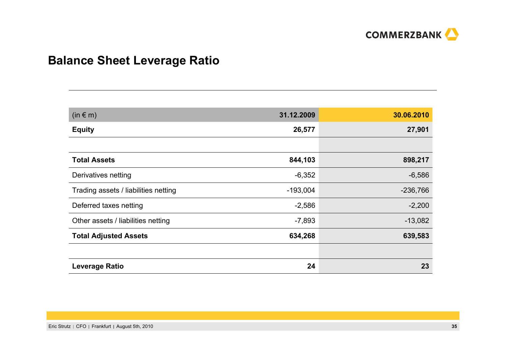

# **Balance Sheet Leverage Ratio**

| $(in \in m)$                         | 31.12.2009 | 30.06.2010 |
|--------------------------------------|------------|------------|
| <b>Equity</b>                        | 26,577     | 27,901     |
|                                      |            |            |
| <b>Total Assets</b>                  | 844,103    | 898,217    |
| Derivatives netting                  | $-6,352$   | $-6,586$   |
| Trading assets / liabilities netting | $-193,004$ | $-236,766$ |
| Deferred taxes netting               | $-2,586$   | $-2,200$   |
| Other assets / liabilities netting   | $-7,893$   | $-13,082$  |
| <b>Total Adjusted Assets</b>         | 634,268    | 639,583    |
|                                      |            |            |
| <b>Leverage Ratio</b>                | 24         | 23         |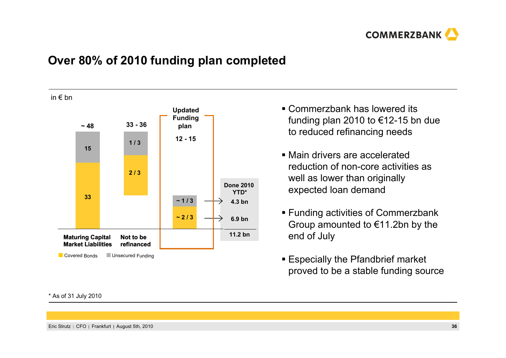

## **Over 80% of 2010 funding plan completed**

in € bn



- Commerzbank has lowered its funding plan 2010 to €12-15 bn due to reduced refinancing needs
- Main drivers are accelerated reduction of non-core activities as well as lower than originally expected loan demand
- **Funding activities of Commerzbank** Group amounted to  $€11.2$ bn by the end of July
- Especially the Pfandbrief market proved to be a stable funding source

\* As of 31 July 2010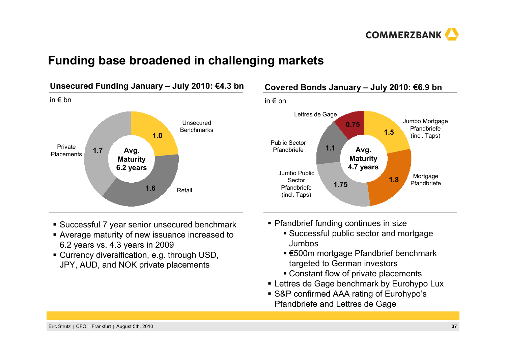

## **Funding base broadened in challenging markets**



## **Covered Bonds January – July 2010: €6.9 bn**



- **Successful 7 year senior unsecured benchmark**
- Average maturity of new issuance increased to 6.2 years vs. 4.3 years in 2009
- Currency diversification, e.g. through USD, JPY, AUD, and NOK private placements
- **Pfandbrief funding continues in size** 
	- Successful public sector and mortgage Jumbos
	- €500m mortgage Pfandbrief benchmark targeted to German investors
	- Constant flow of private placements
- Lettres de Gage benchmark by Eurohypo Lux
- S&P confirmed AAA rating of Eurohypo's Pfandbriefe and Lettres de Gage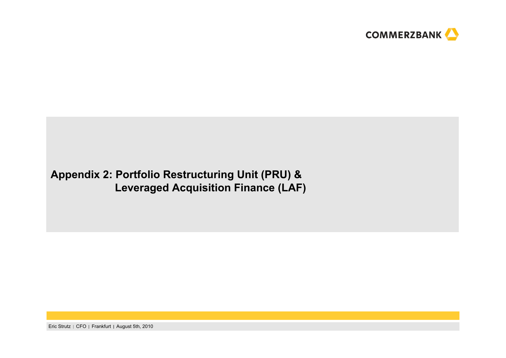

## **Appendix 2: Portfolio Restructuring Unit (PRU) & Leveraged Acquisition Finance (LAF)**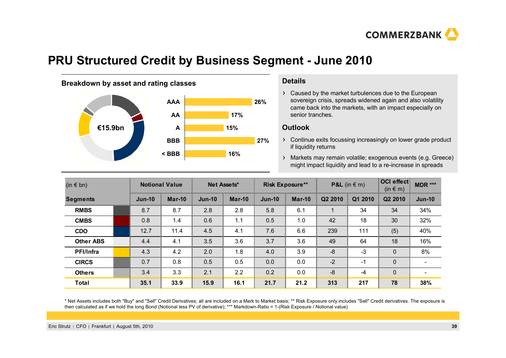

## **PRU Structured Credit by Business Segment - June 2010**

## **Breakdown by asset and rating classes <b>Details Details**



Caused by the market turbulences due to the European sovereign crisis, spreads widened again and also volatility came back into the markets, with an impact especially on senior tranches.

#### **Outlook**

Continue exits focussing increasingly on lower grade product if liquidity returns

Markets may remain volatile; exogenous events (e.g. Greece) might impact liquidity and lead to a re-increase in spreads

| $(in \in bn)$    |  |          | <b>Notional Value</b> |          | Net Assets* |          | <b>Risk Exposure**</b> |         | <b>P&amp;L</b> (in $\in$ m) |                     | OCI effect<br>MDR ***    |
|------------------|--|----------|-----------------------|----------|-------------|----------|------------------------|---------|-----------------------------|---------------------|--------------------------|
| <b>Segments</b>  |  | $Jun-10$ | $Mar-10$              | $Jun-10$ | $Mar-10$    | $Jun-10$ | $Mar-10$               | Q2 2010 | Q1 2010                     | Q <sub>2</sub> 2010 | $Jun-10$                 |
| <b>RMBS</b>      |  | 8.7      | 8.7                   | 2.8      | 2.8         | 5.8      | 6.1                    |         | 34                          | 34                  | 34%                      |
| <b>CMBS</b>      |  | 0.8      | 1.4                   | 0.6      | 1.1         | 0.5      | 1.0                    | 42      | 18                          | 30                  | 32%                      |
| <b>CDO</b>       |  | 12.7     | 11.4                  | 4.5      | 4.1         | 7.6      | 6.6                    | 239     | 111                         | (5)                 | 40%                      |
| <b>Other ABS</b> |  | 4.4      | 4.1                   | 3.5      | 3.6         | 3.7      | 3.6                    | 49      | 64                          | 18                  | 16%                      |
| <b>PFI/Infra</b> |  | 4.3      | 4.2                   | 2.0      | 1.8         | 4.0      | 3.9                    | $-8$    | $-3$                        | $\mathbf 0$         | 8%                       |
| <b>CIRCS</b>     |  | 0.7      | 0.8                   | 0.5      | 0.5         | 0.0      | 0.0                    | $-2$    | $-1$                        | $\mathbf 0$         |                          |
| <b>Others</b>    |  | 3.4      | 3.3                   | 2.1      | 2.2         | 0.2      | 0.0                    | $-8$    | $-4$                        | $\mathbf 0$         | $\overline{\phantom{0}}$ |
| <b>Total</b>     |  | 35.1     | 33.9                  | 15.9     | 16.1        | 21.7     | 21.2                   | 313     | 217                         | 78                  | 38%                      |

\* Net Assets includes both "Buy" and "Sell" Credit Derivatives; all are included on a Mark to Market basis; \*\* Risk Exposure only includes "Sell" Credit derivatives. The exposure is then calculated as if we hold the long Bond (Notional less PV of derivative); \*\*\* Markdown-Ratio = 1-(Risk Exposure / Notional value)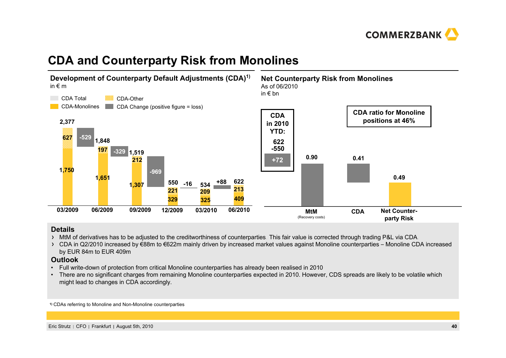

# **CDA and Counterparty Risk from Monolines**



#### **Details**

- > MtM of derivatives has to be adjusted to the creditworthiness of counterparties. This fair value is corrected through trading P&L via CDA.
- CDA in Q2/2010 increased by €88m to €622m mainly driven by increased market values against Monoline counterparties Monoline CDA increased by EUR 84m to EUR 409m

#### **Outlook**

- •Full write-down of protection from critical Monoline counterparties has already been realised in 2010
- There are no significant charges from remaining Monoline counterparties expected in 2010. However, CDS spreads are likely to be volatile which might lead to changes in CDA accordingly.

**1)** CDAs referring to Monoline and Non-Monoline counterparties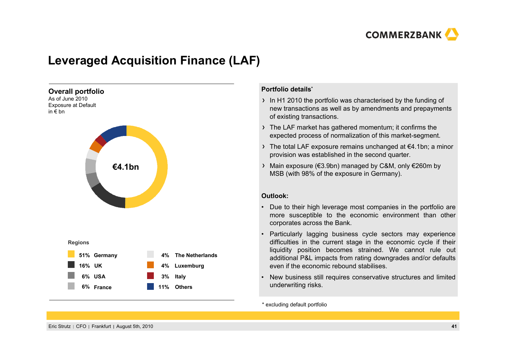

# **Leveraged Acquisition Finance (LAF)**



#### **Portfolio details\***

- $\rightarrow$  In H1 2010 the portfolio was characterised by the funding of new transactions as well as by amendments and prepayments of existing transactions.
- The LAF market has gathered momentum; it confirms the expected process of normalization of this market-segment.
- The total LAF exposure remains unchanged at €4.1bn; a minor provision was established in the second quarter.
- Main exposure (€3.9bn) managed by C&M, only €260m by MSB (with 98% of the exposure in Germany).

#### **Outlook:**

- Due to their high leverage most companies in the portfolio are more susceptible to the economic environment than other corporates across the Bank.
- • Particularly lagging business cycle sectors may experience difficulties in the current stage in the economic cycle if their liquidity position becomes strained. We cannot rule out additional P&L impacts from rating downgrades and/or defaults even if the economic rebound stabilises.
- • New business still requires conservative structures and limited underwriting risks.

\* excluding default portfolio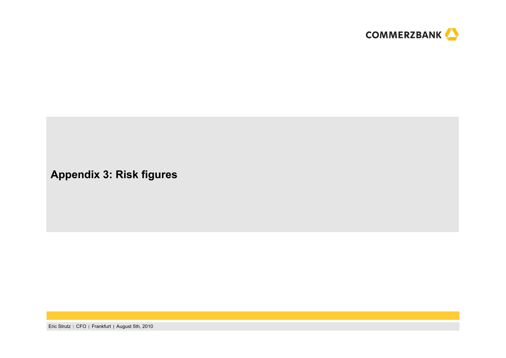

## **Appendix 3: Risk figures**

Eric Strutz | CFO | Frankfurt | August 5th, 2010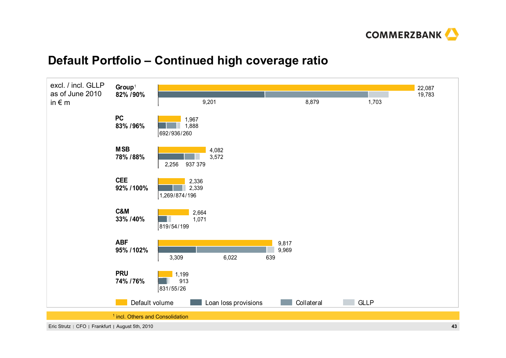

## **Default Portfolio – Continued high coverage ratio**

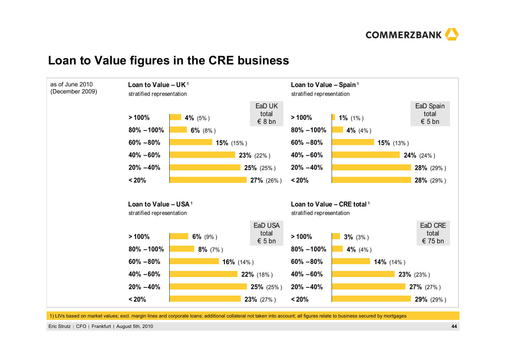

## **Loan to Value figures in the CRE business**



1) LtVs based on market values; excl. margin lines and corporate loans; additional collateral not taken into account; all figures relate to business secured by mortgages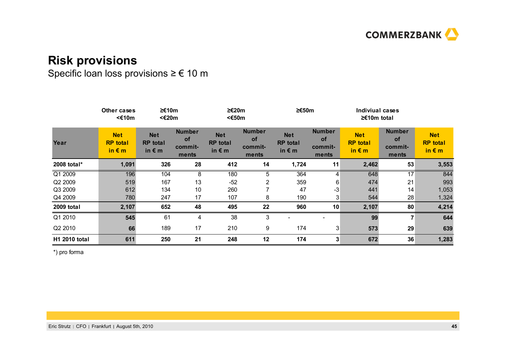

## **Risk provisions**

Specific loan loss provisions <sup>≥</sup> € 10 <sup>m</sup>

|                      | Other cases<br><€10m                             | ≥€10m<br><€20m                                   |                                                | ≥€20m<br><€50m                                   |                                                | ≥€50m                                            |                                                | Indiviual cases<br>$≥£10m$ total                 |                                         |                                                  |
|----------------------|--------------------------------------------------|--------------------------------------------------|------------------------------------------------|--------------------------------------------------|------------------------------------------------|--------------------------------------------------|------------------------------------------------|--------------------------------------------------|-----------------------------------------|--------------------------------------------------|
| Year                 | <b>Net</b><br><b>RP</b> total<br>in $\epsilon$ m | <b>Net</b><br><b>RP</b> total<br>in $\epsilon$ m | <b>Number</b><br><b>of</b><br>commit-<br>ments | <b>Net</b><br><b>RP</b> total<br>in $\epsilon$ m | <b>Number</b><br><b>of</b><br>commit-<br>ments | <b>Net</b><br><b>RP</b> total<br>in $\epsilon$ m | <b>Number</b><br><b>of</b><br>commit-<br>ments | <b>Net</b><br><b>RP</b> total<br>in $\epsilon$ m | <b>Number</b><br>of<br>commit-<br>ments | <b>Net</b><br><b>RP</b> total<br>in $\epsilon$ m |
| 2008 total*          | 1,091                                            | 326                                              | 28                                             | 412                                              | 14                                             | 1,724                                            | 11                                             | 2,462                                            | 53                                      | 3,553                                            |
| Q1 2009              | 196                                              | 104                                              | 8                                              | 180                                              | 5                                              | 364                                              | 4                                              | 648                                              | 17                                      | 844                                              |
| Q2 2009              | 519                                              | 167                                              | 13                                             | $-52$                                            | 2                                              | 359                                              | 6                                              | 474                                              | 21                                      | 993                                              |
| Q3 2009              | 612                                              | 134                                              | 10                                             | 260                                              |                                                | 47                                               | $-3$                                           | 441                                              | 14                                      | 1,053                                            |
| Q4 2009              | 780                                              | 247                                              | 17                                             | 107                                              | 8                                              | 190                                              | 3                                              | 544                                              | 28                                      | 1,324                                            |
| 2009 total           | 2,107                                            | 652                                              | 48                                             | 495                                              | 22                                             | 960                                              | 10                                             | 2,107                                            | 80                                      | 4,214                                            |
| Q1 2010              | 545                                              | 61                                               | 4                                              | 38                                               | 3                                              |                                                  |                                                | 99                                               | 7                                       | 644                                              |
| Q2 2010              | 66                                               | 189                                              | 17                                             | 210                                              | 9                                              | 174                                              | 3                                              | 573                                              | 29                                      | 639                                              |
| <b>H1 2010 total</b> | 611                                              | 250                                              | 21                                             | 248                                              | 12                                             | 174                                              | 3                                              | 672                                              | 36                                      | 1,283                                            |

\*) pro forma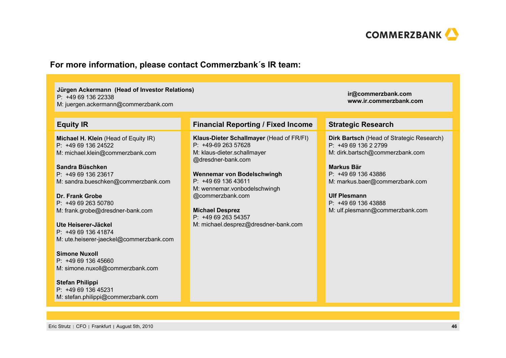

### **For more information, please contact Commerzbank´s IR team:**

**Jürgen Ackermann (Head of Investor Relations)** P: +49 69 136 22338M: juergen.ackermann@commerzbank.com

**Michael H. Klein** (Head of Equity IR)  $P: +496913624522$ M: michael.klein@commerzbank.com

**Sandra Büschken**P: +49 69 136 23617M: sandra.bueschken@commerzbank.com

**Dr. Frank Grobe**P: +49 69 263 50780M: frank.grobe@dresdner-bank.com

**Ute Heiserer-Jäckel**P: +49 69 136 41874M: ute.heiserer-jaeckel@commerzbank.com

**Simone Nuxoll**P: +49 69 136 45660M: simone.nuxoll@commerzbank.com

**Stefan Philippi** P: +49 69 136 45231M: stefan.philippi@commerzbank.com

#### **Equity IR Financial Reporting / Fixed Income Strategic Research**

**Klaus-Dieter Schallmayer** (Head of FR/FI) P: +49-69 263 57628M: klaus-dieter.schallmayer @dresdner-bank.com

**Wennemar von Bodelschwingh** P: +49 69 136 43611M: wennemar.vonbodelschwingh @commerzbank.com

**Michael Desprez** P: +49 69 263 54357M: michael.desprez@dresdner-bank.com

**Dirk Bartsch** (Head of Strategic Research) P: +49 69 136 2 2799 M: dirk.bartsch@commerzbank.com

**ir@commerzbank.com www.ir.commerzbank.com**

**Markus Bär**P: +49 69 136 43886 M: markus.baer@commerzbank.com

**Ulf Plesmann**P: +49 69 136 43888 M: ulf.plesmann@commerzbank.com